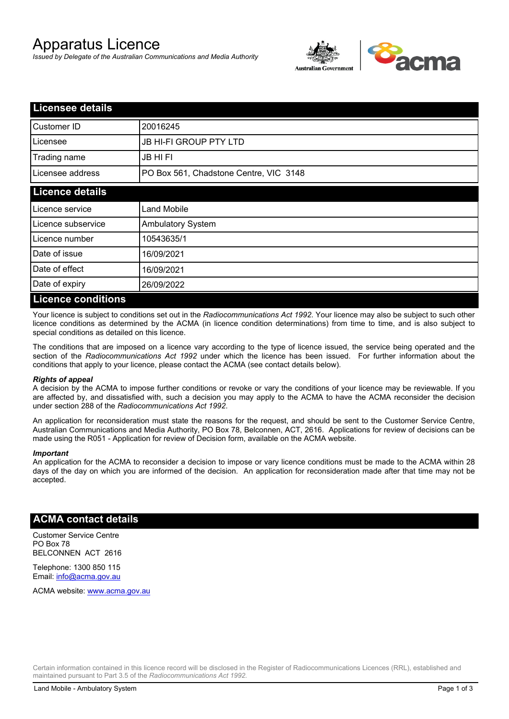# Apparatus Licence

*Issued by Delegate of the Australian Communications and Media Authority*



| <b>Licensee details</b>   |                                        |  |
|---------------------------|----------------------------------------|--|
| Customer ID               | 20016245                               |  |
| Licensee                  | <b>JB HI-FI GROUP PTY LTD</b>          |  |
| Trading name              | <b>JB HIFI</b>                         |  |
| Licensee address          | PO Box 561, Chadstone Centre, VIC 3148 |  |
| <b>Licence details</b>    |                                        |  |
| Licence service           | <b>Land Mobile</b>                     |  |
| Licence subservice        | <b>Ambulatory System</b>               |  |
| Licence number            | 10543635/1                             |  |
| Date of issue             | 16/09/2021                             |  |
| Date of effect            | 16/09/2021                             |  |
| Date of expiry            | 26/09/2022                             |  |
| <b>Licence conditions</b> |                                        |  |

Your licence is subject to conditions set out in the *Radiocommunications Act 1992*. Your licence may also be subject to such other licence conditions as determined by the ACMA (in licence condition determinations) from time to time, and is also subject to special conditions as detailed on this licence.

The conditions that are imposed on a licence vary according to the type of licence issued, the service being operated and the section of the *Radiocommunications Act 1992* under which the licence has been issued. For further information about the conditions that apply to your licence, please contact the ACMA (see contact details below).

#### *Rights of appeal*

A decision by the ACMA to impose further conditions or revoke or vary the conditions of your licence may be reviewable. If you are affected by, and dissatisfied with, such a decision you may apply to the ACMA to have the ACMA reconsider the decision under section 288 of the *Radiocommunications Act 1992*.

An application for reconsideration must state the reasons for the request, and should be sent to the Customer Service Centre, Australian Communications and Media Authority, PO Box 78, Belconnen, ACT, 2616. Applications for review of decisions can be made using the R051 - Application for review of Decision form, available on the ACMA website.

#### *Important*

An application for the ACMA to reconsider a decision to impose or vary licence conditions must be made to the ACMA within 28 days of the day on which you are informed of the decision. An application for reconsideration made after that time may not be accepted.

#### **ACMA contact details**

Customer Service Centre PO Box 78 BELCONNEN ACT 2616

Telephone: 1300 850 115 Email: info@acma.gov.au

ACMA website: www.acma.gov.au

Certain information contained in this licence record will be disclosed in the Register of Radiocommunications Licences (RRL), established and maintained pursuant to Part 3.5 of the *Radiocommunications Act 1992.*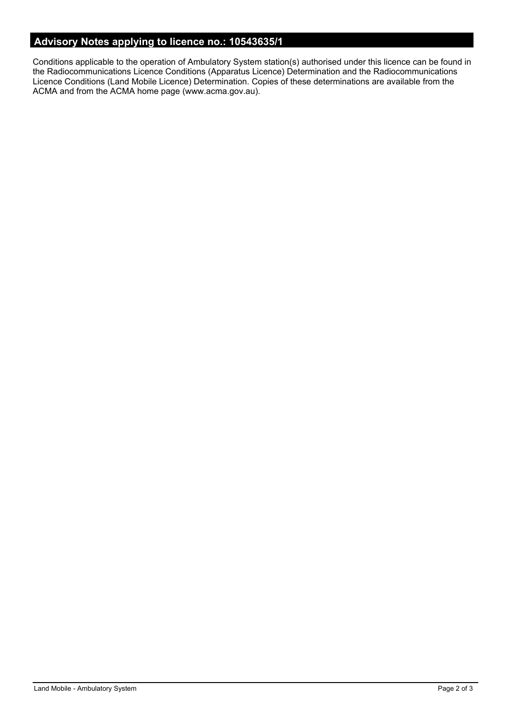# **Advisory Notes applying to licence no.: 10543635/1**

Conditions applicable to the operation of Ambulatory System station(s) authorised under this licence can be found in the Radiocommunications Licence Conditions (Apparatus Licence) Determination and the Radiocommunications Licence Conditions (Land Mobile Licence) Determination. Copies of these determinations are available from the ACMA and from the ACMA home page (www.acma.gov.au).